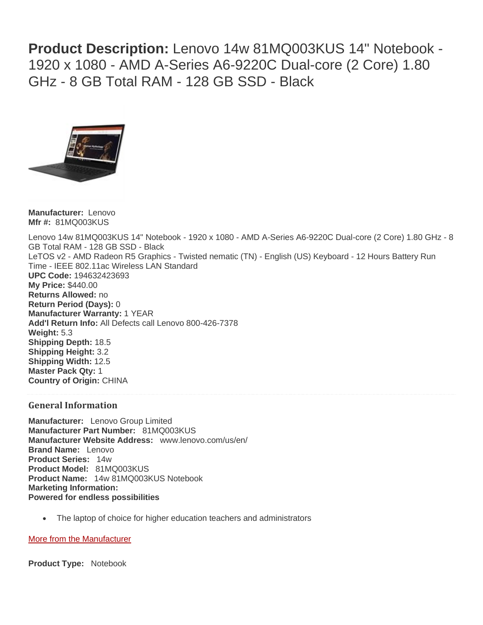**Product Description:** Lenovo 14w 81MQ003KUS 14" Notebook - 1920 x 1080 - AMD A-Series A6-9220C Dual-core (2 Core) 1.80 GHz - 8 GB Total RAM - 128 GB SSD - Black



**Manufacturer:** Lenovo **Mfr #:** 81MQ003KUS

Lenovo 14w 81MQ003KUS 14" Notebook - 1920 x 1080 - AMD A-Series A6-9220C Dual-core (2 Core) 1.80 GHz - 8 GB Total RAM - 128 GB SSD - Black LeTOS v2 - AMD Radeon R5 Graphics - Twisted nematic (TN) - English (US) Keyboard - 12 Hours Battery Run Time - IEEE 802.11ac Wireless LAN Standard **UPC Code:** 194632423693 **My Price:** \$440.00 **Returns Allowed:** no **Return Period (Days):** 0 **Manufacturer Warranty:** 1 YEAR **Add'l Return Info:** All Defects call Lenovo 800-426-7378 **Weight:** 5.3 **Shipping Depth:** 18.5 **Shipping Height:** 3.2 **Shipping Width:** 12.5 **Master Pack Qty:** 1 **Country of Origin:** CHINA

## **General Information**

**Manufacturer:** Lenovo Group Limited **Manufacturer Part Number:** 81MQ003KUS **Manufacturer Website Address:** www.lenovo.com/us/en/ **Brand Name:** Lenovo **Product Series:** 14w **Product Model:** 81MQ003KUS **Product Name:** 14w 81MQ003KUS Notebook **Marketing Information: Powered for endless possibilities**

The laptop of choice for higher education teachers and administrators

## [More from the Manufacturer](javascript:void(0))

**Product Type:** Notebook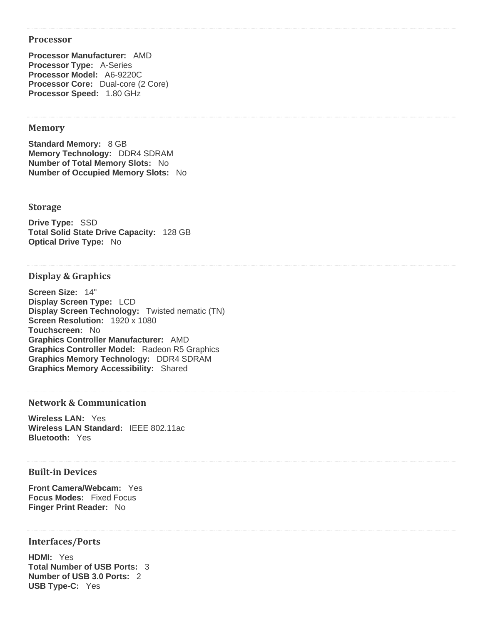#### **Processor**

**Processor Manufacturer:** AMD **Processor Type:** A-Series **Processor Model:** A6-9220C **Processor Core:** Dual-core (2 Core) **Processor Speed:** 1.80 GHz

## **Memory**

**Standard Memory:** 8 GB **Memory Technology:** DDR4 SDRAM **Number of Total Memory Slots:** No **Number of Occupied Memory Slots:** No

#### **Storage**

**Drive Type:** SSD **Total Solid State Drive Capacity:** 128 GB **Optical Drive Type:** No

#### **Display & Graphics**

**Screen Size:** 14" **Display Screen Type:** LCD **Display Screen Technology:** Twisted nematic (TN) **Screen Resolution:** 1920 x 1080 **Touchscreen:** No **Graphics Controller Manufacturer:** AMD **Graphics Controller Model:** Radeon R5 Graphics **Graphics Memory Technology:** DDR4 SDRAM **Graphics Memory Accessibility:** Shared

### **Network & Communication**

**Wireless LAN:** Yes **Wireless LAN Standard:** IEEE 802.11ac **Bluetooth:** Yes

## **Built-in Devices**

**Front Camera/Webcam:** Yes **Focus Modes:** Fixed Focus **Finger Print Reader:** No

#### **Interfaces/Ports**

**HDMI:** Yes **Total Number of USB Ports:** 3 **Number of USB 3.0 Ports:** 2 **USB Type-C:** Yes